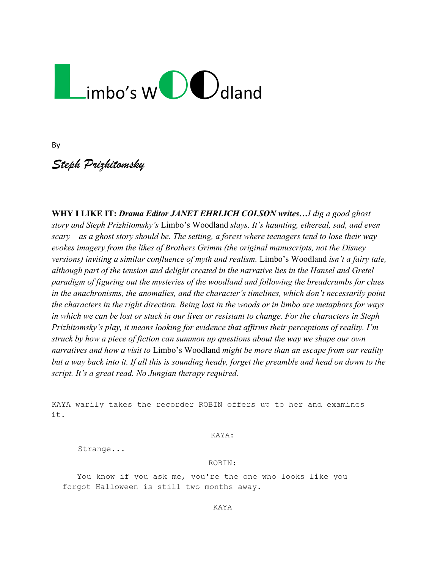# Limbo's W $\bigcup$ dland

By

*Steph Prizhitomsky*

**WHY I LIKE IT:** *Drama Editor JANET EHRLICH COLSON writes…I dig a good ghost story and Steph Prizhitomsky's* Limbo's Woodland *slays. It's haunting, ethereal, sad, and even scary – as a ghost story should be. The setting, a forest where teenagers tend to lose their way evokes imagery from the likes of Brothers Grimm (the original manuscripts, not the Disney versions) inviting a similar confluence of myth and realism.* Limbo's Woodland *isn't a fairy tale, although part of the tension and delight created in the narrative lies in the Hansel and Gretel paradigm of figuring out the mysteries of the woodland and following the breadcrumbs for clues in the anachronisms, the anomalies, and the character's timelines, which don't necessarily point the characters in the right direction. Being lost in the woods or in limbo are metaphors for ways in which we can be lost or stuck in our lives or resistant to change. For the characters in Steph Prizhitomsky's play, it means looking for evidence that affirms their perceptions of reality. I'm struck by how a piece of fiction can summon up questions about the way we shape our own narratives and how a visit to* Limbo's Woodland *might be more than an escape from our reality but a way back into it. If all this is sounding heady, forget the preamble and head on down to the script. It's a great read. No Jungian therapy required.* 

KAYA warily takes the recorder ROBIN offers up to her and examines it.

KAYA:

Strange...

#### ROBIN:

You know if you ask me, you're the one who looks like you forgot Halloween is still two months away.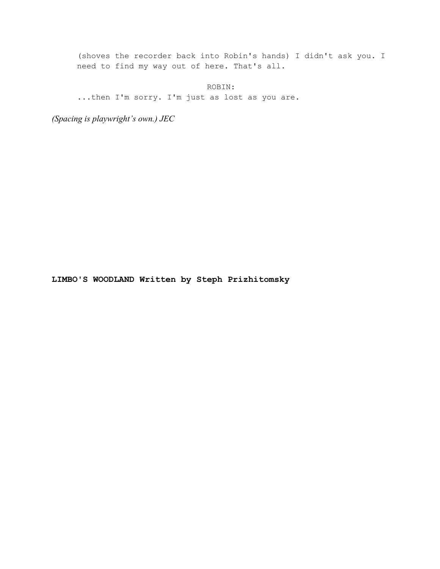(shoves the recorder back into Robin's hands) I didn't ask you. I need to find my way out of here. That's all.

ROBIN:

...then I'm sorry. I'm just as lost as you are.

*(Spacing is playwright's own.) JEC*

**LIMBO'S WOODLAND Written by Steph Prizhitomsky**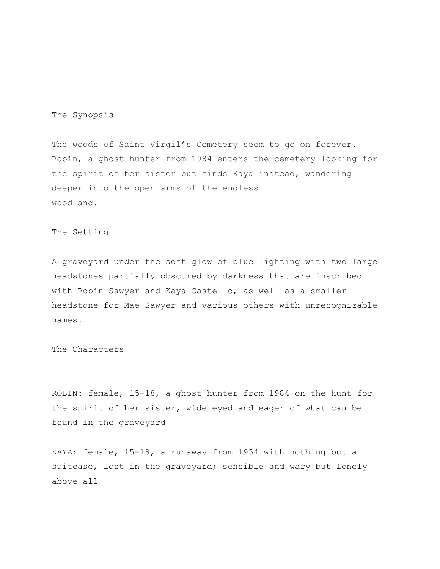# The Synopsis

The woods of Saint Virgil's Cemetery seem to go on forever. Robin, a ghost hunter from 1984 enters the cemetery looking for the spirit of her sister but finds Kaya instead, wandering deeper into the open arms of the endless woodland.

# The Setting

A graveyard under the soft glow of blue lighting with two large headstones partially obscured by darkness that are inscribed with Robin Sawyer and Kaya Castello, as well as a smaller headstone for Mae Sawyer and various others with unrecognizable names.

The Characters

ROBIN: female, 15-18, a ghost hunter from 1984 on the hunt for the spirit of her sister, wide eyed and eager of what can be found in the graveyard

KAYA: female, 15-18, a runaway from 1954 with nothing but a suitcase, lost in the graveyard; sensible and wary but lonely above all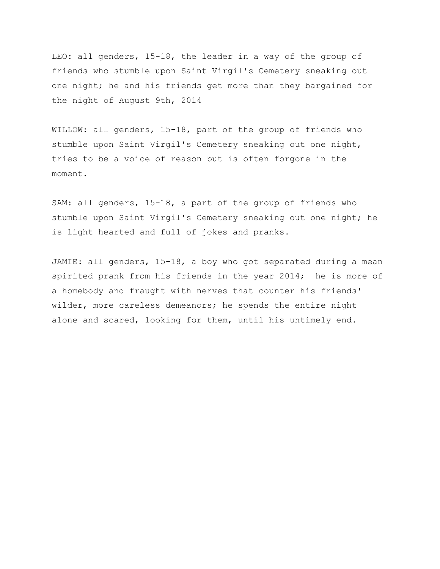LEO: all genders, 15-18, the leader in a way of the group of friends who stumble upon Saint Virgil's Cemetery sneaking out one night; he and his friends get more than they bargained for the night of August 9th, 2014

WILLOW: all genders, 15-18, part of the group of friends who stumble upon Saint Virgil's Cemetery sneaking out one night, tries to be a voice of reason but is often forgone in the moment.

SAM: all genders, 15-18, a part of the group of friends who stumble upon Saint Virgil's Cemetery sneaking out one night; he is light hearted and full of jokes and pranks.

JAMIE: all genders, 15-18, a boy who got separated during a mean spirited prank from his friends in the year 2014; he is more of a homebody and fraught with nerves that counter his friends' wilder, more careless demeanors; he spends the entire night alone and scared, looking for them, until his untimely end.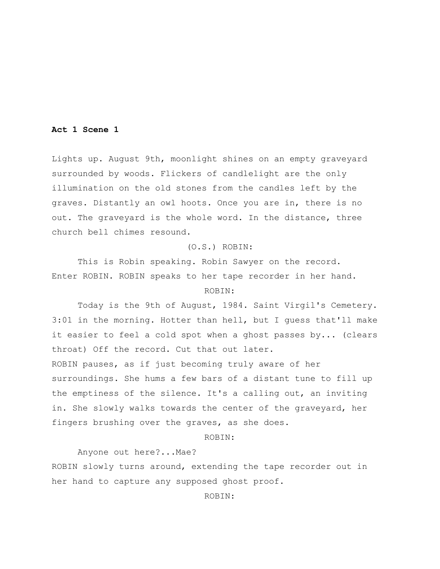#### **Act 1 Scene 1**

Lights up. August 9th, moonlight shines on an empty graveyard surrounded by woods. Flickers of candlelight are the only illumination on the old stones from the candles left by the graves. Distantly an owl hoots. Once you are in, there is no out. The graveyard is the whole word. In the distance, three church bell chimes resound.

# (O.S.) ROBIN:

This is Robin speaking. Robin Sawyer on the record. Enter ROBIN. ROBIN speaks to her tape recorder in her hand.

# ROBIN:

Today is the 9th of August, 1984. Saint Virgil's Cemetery. 3:01 in the morning. Hotter than hell, but I guess that'll make it easier to feel a cold spot when a ghost passes by... (clears throat) Off the record. Cut that out later. ROBIN pauses, as if just becoming truly aware of her

surroundings. She hums a few bars of a distant tune to fill up the emptiness of the silence. It's a calling out, an inviting in. She slowly walks towards the center of the graveyard, her fingers brushing over the graves, as she does.

ROBIN:

Anyone out here?...Mae?

ROBIN slowly turns around, extending the tape recorder out in her hand to capture any supposed ghost proof.

ROBIN: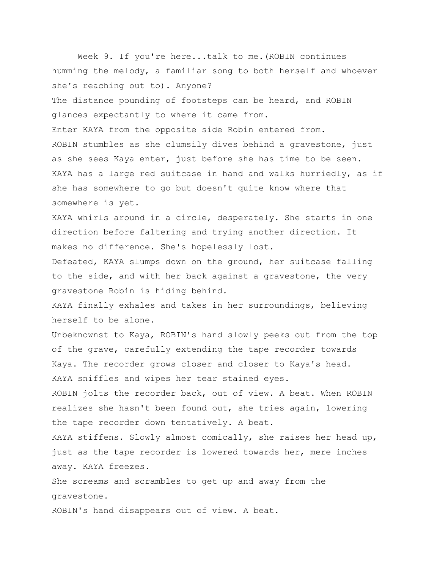Week 9. If you're here...talk to me.(ROBIN continues humming the melody, a familiar song to both herself and whoever she's reaching out to). Anyone? The distance pounding of footsteps can be heard, and ROBIN glances expectantly to where it came from. Enter KAYA from the opposite side Robin entered from. ROBIN stumbles as she clumsily dives behind a gravestone, just as she sees Kaya enter, just before she has time to be seen. KAYA has a large red suitcase in hand and walks hurriedly, as if she has somewhere to go but doesn't quite know where that somewhere is yet. KAYA whirls around in a circle, desperately. She starts in one direction before faltering and trying another direction. It makes no difference. She's hopelessly lost. Defeated, KAYA slumps down on the ground, her suitcase falling to the side, and with her back against a gravestone, the very gravestone Robin is hiding behind. KAYA finally exhales and takes in her surroundings, believing herself to be alone. Unbeknownst to Kaya, ROBIN's hand slowly peeks out from the top of the grave, carefully extending the tape recorder towards Kaya. The recorder grows closer and closer to Kaya's head. KAYA sniffles and wipes her tear stained eyes. ROBIN jolts the recorder back, out of view. A beat. When ROBIN realizes she hasn't been found out, she tries again, lowering the tape recorder down tentatively. A beat. KAYA stiffens. Slowly almost comically, she raises her head up, just as the tape recorder is lowered towards her, mere inches away. KAYA freezes. She screams and scrambles to get up and away from the gravestone.

ROBIN's hand disappears out of view. A beat.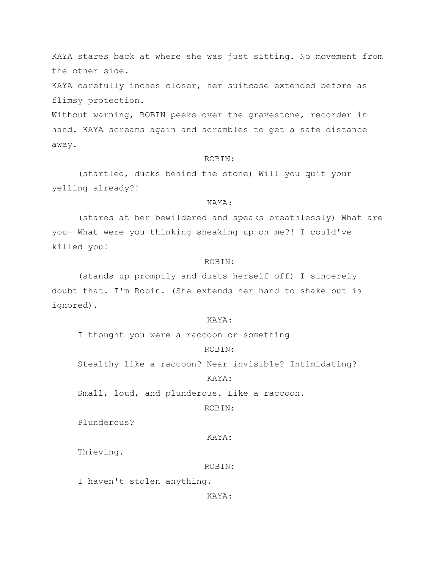KAYA stares back at where she was just sitting. No movement from the other side.

KAYA carefully inches closer, her suitcase extended before as flimsy protection.

Without warning, ROBIN peeks over the gravestone, recorder in hand. KAYA screams again and scrambles to get a safe distance away.

## ROBIN:

(startled, ducks behind the stone) Will you quit your yelling already?!

#### KAYA:

(stares at her bewildered and speaks breathlessly) What are you- What were you thinking sneaking up on me?! I could've killed you!

# ROBIN:

(stands up promptly and dusts herself off) I sincerely doubt that. I'm Robin. (She extends her hand to shake but is ignored).

# KAYA:

I thought you were a raccoon or something

# ROBIN:

Stealthy like a raccoon? Near invisible? Intimidating?

# KAYA:

Small, loud, and plunderous. Like a raccoon.

ROBIN:

Plunderous?

#### KAYA:

Thieving.

#### ROBIN:

I haven't stolen anything.

KAYA: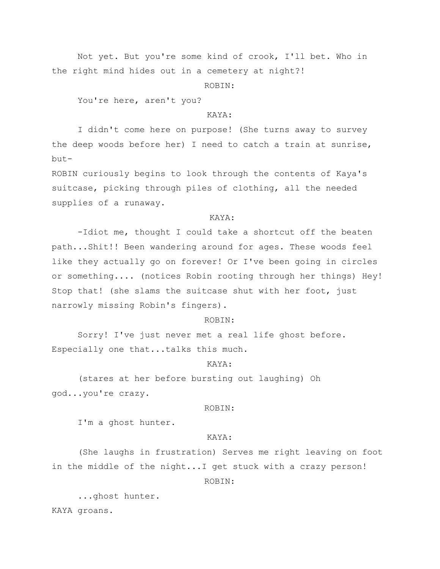Not yet. But you're some kind of crook, I'll bet. Who in the right mind hides out in a cemetery at night?!

ROBIN:

You're here, aren't you?

# KAYA:

I didn't come here on purpose! (She turns away to survey the deep woods before her) I need to catch a train at sunrise, but-

ROBIN curiously begins to look through the contents of Kaya's suitcase, picking through piles of clothing, all the needed supplies of a runaway.

# KAYA:

-Idiot me, thought I could take a shortcut off the beaten path...Shit!! Been wandering around for ages. These woods feel like they actually go on forever! Or I've been going in circles or something.... (notices Robin rooting through her things) Hey! Stop that! (she slams the suitcase shut with her foot, just narrowly missing Robin's fingers).

# ROBIN:

Sorry! I've just never met a real life ghost before. Especially one that...talks this much.

# KAYA:

(stares at her before bursting out laughing) Oh god...you're crazy.

## ROBIN:

I'm a ghost hunter.

# KAYA:

(She laughs in frustration) Serves me right leaving on foot in the middle of the night...I get stuck with a crazy person!

ROBIN:

...ghost hunter. KAYA groans.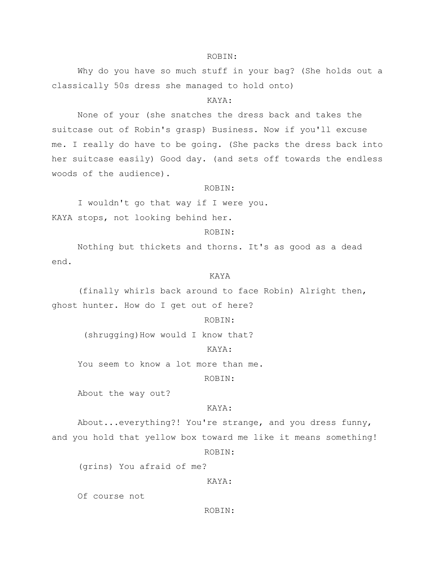#### ROBIN:

Why do you have so much stuff in your bag? (She holds out a classically 50s dress she managed to hold onto)

#### KAYA:

None of your (she snatches the dress back and takes the suitcase out of Robin's grasp) Business. Now if you'll excuse me. I really do have to be going. (She packs the dress back into her suitcase easily) Good day. (and sets off towards the endless woods of the audience).

#### ROBIN:

I wouldn't go that way if I were you. KAYA stops, not looking behind her.

#### ROBIN:

Nothing but thickets and thorns. It's as good as a dead end.

# KAYA

(finally whirls back around to face Robin) Alright then, ghost hunter. How do I get out of here?

# ROBIN:

(shrugging) How would I know that?

# KAYA:

You seem to know a lot more than me.

#### ROBIN:

About the way out?

#### KAYA:

About...everything?! You're strange, and you dress funny, and you hold that yellow box toward me like it means something!

# ROBIN:

(grins) You afraid of me?

#### KAYA:

Of course not

#### ROBIN: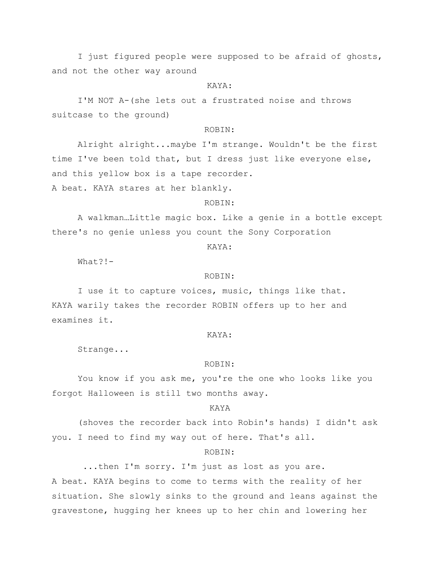I just figured people were supposed to be afraid of ghosts, and not the other way around

# KAYA:

I'M NOT A-(she lets out a frustrated noise and throws suitcase to the ground)

#### ROBIN:

Alright alright...maybe I'm strange. Wouldn't be the first time I've been told that, but I dress just like everyone else, and this yellow box is a tape recorder.

A beat. KAYA stares at her blankly.

# ROBIN:

A walkman…Little magic box. Like a genie in a bottle except there's no genie unless you count the Sony Corporation

# KAYA:

What?!-

#### ROBIN:

I use it to capture voices, music, things like that. KAYA warily takes the recorder ROBIN offers up to her and examines it.

#### KAYA:

Strange...

#### ROBIN:

You know if you ask me, you're the one who looks like you forgot Halloween is still two months away.

#### KAYA

(shoves the recorder back into Robin's hands) I didn't ask you. I need to find my way out of here. That's all.

#### ROBIN:

...then I'm sorry. I'm just as lost as you are. A beat. KAYA begins to come to terms with the reality of her situation. She slowly sinks to the ground and leans against the gravestone, hugging her knees up to her chin and lowering her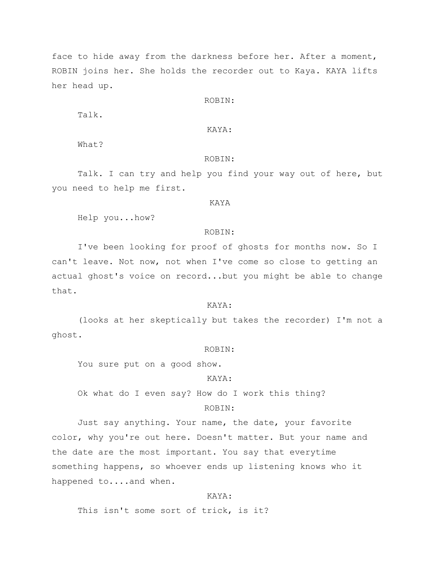face to hide away from the darkness before her. After a moment, ROBIN joins her. She holds the recorder out to Kaya. KAYA lifts her head up.

#### ROBIN:

Talk.

# KAYA:

What?

## ROBIN:

Talk. I can try and help you find your way out of here, but you need to help me first.

# KAYA

Help you...how?

#### ROBIN:

I've been looking for proof of ghosts for months now. So I can't leave. Not now, not when I've come so close to getting an actual ghost's voice on record...but you might be able to change that.

#### KAYA:

(looks at her skeptically but takes the recorder) I'm not a ghost.

#### ROBIN:

You sure put on a good show.

# KAYA:

Ok what do I even say? How do I work this thing?

# ROBIN:

Just say anything. Your name, the date, your favorite color, why you're out here. Doesn't matter. But your name and the date are the most important. You say that everytime something happens, so whoever ends up listening knows who it happened to....and when.

#### KAYA:

This isn't some sort of trick, is it?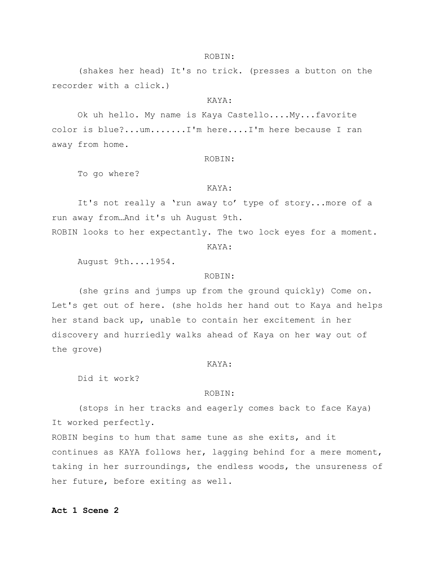#### ROBIN:

(shakes her head) It's no trick. (presses a button on the recorder with a click.)

#### KAYA:

Ok uh hello. My name is Kaya Castello....My...favorite color is blue?...um.......I'm here....I'm here because I ran away from home.

#### ROBIN:

To go where?

#### KAYA:

It's not really a 'run away to' type of story...more of a run away from…And it's uh August 9th.

ROBIN looks to her expectantly. The two lock eyes for a moment.

KAYA:

August 9th....1954.

#### ROBIN:

(she grins and jumps up from the ground quickly) Come on. Let's get out of here. (she holds her hand out to Kaya and helps her stand back up, unable to contain her excitement in her discovery and hurriedly walks ahead of Kaya on her way out of the grove)

#### KAYA:

Did it work?

#### ROBIN:

(stops in her tracks and eagerly comes back to face Kaya) It worked perfectly.

ROBIN begins to hum that same tune as she exits, and it continues as KAYA follows her, lagging behind for a mere moment, taking in her surroundings, the endless woods, the unsureness of her future, before exiting as well.

# **Act 1 Scene 2**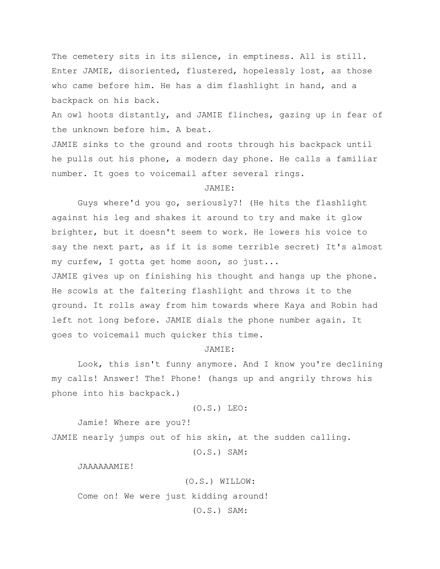The cemetery sits in its silence, in emptiness. All is still. Enter JAMIE, disoriented, flustered, hopelessly lost, as those who came before him. He has a dim flashlight in hand, and a backpack on his back.

An owl hoots distantly, and JAMIE flinches, gazing up in fear of the unknown before him. A beat.

JAMIE sinks to the ground and roots through his backpack until he pulls out his phone, a modern day phone. He calls a familiar number. It goes to voicemail after several rings.

# JAMIE:

Guys where'd you go, seriously?! (He hits the flashlight against his leg and shakes it around to try and make it glow brighter, but it doesn't seem to work. He lowers his voice to say the next part, as if it is some terrible secret) It's almost my curfew, I gotta get home soon, so just... JAMIE gives up on finishing his thought and hangs up the phone. He scowls at the faltering flashlight and throws it to the ground. It rolls away from him towards where Kaya and Robin had left not long before. JAMIE dials the phone number again. It goes to voicemail much quicker this time.

# JAMIE:

Look, this isn't funny anymore. And I know you're declining my calls! Answer! The! Phone! (hangs up and angrily throws his phone into his backpack.)

(O.S.) LEO:

Jamie! Where are you?!

JAMIE nearly jumps out of his skin, at the sudden calling.

(O.S.) SAM:

JAAAAAAMIE!

(O.S.) WILLOW:

Come on! We were just kidding around!

(O.S.) SAM: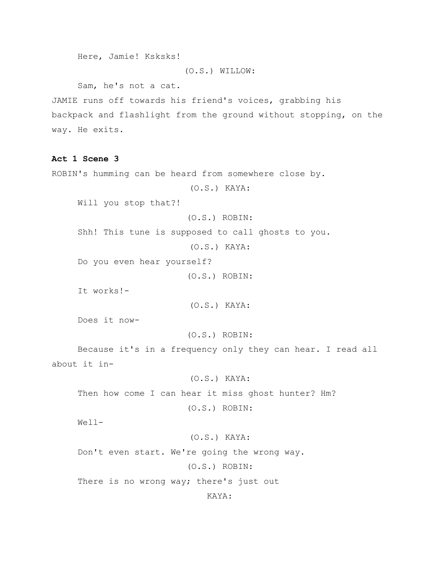```
Here, Jamie! Ksksks!
```
# (O.S.) WILLOW:

Sam, he's not a cat.

JAMIE runs off towards his friend's voices, grabbing his backpack and flashlight from the ground without stopping, on the way. He exits.

# **Act 1 Scene 3**

ROBIN's humming can be heard from somewhere close by.

(O.S.) KAYA:

Will you stop that?!

(O.S.) ROBIN:

Shh! This tune is supposed to call ghosts to you.

(O.S.) KAYA:

Do you even hear yourself?

(O.S.) ROBIN:

It works!-

(O.S.) KAYA:

Does it now-

(O.S.) ROBIN:

Because it's in a frequency only they can hear. I read all about it in-

#### (O.S.) KAYA:

Then how come I can hear it miss ghost hunter? Hm?

(O.S.) ROBIN:

Well-

# (O.S.) KAYA:

Don't even start. We're going the wrong way.

(O.S.) ROBIN:

There is no wrong way; there's just out

KAYA: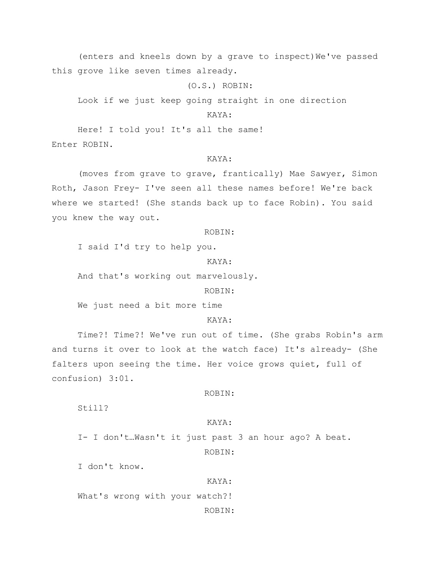(enters and kneels down by a grave to inspect) We've passed this grove like seven times already.

(O.S.) ROBIN:

Look if we just keep going straight in one direction

# KAYA:

Here! I told you! It's all the same! Enter ROBIN.

# KAYA:

(moves from grave to grave, frantically) Mae Sawyer, Simon Roth, Jason Frey- I've seen all these names before! We're back where we started! (She stands back up to face Robin). You said you knew the way out.

#### ROBIN:

I said I'd try to help you.

KAYA:

And that's working out marvelously.

ROBIN:

We just need a bit more time

# KAYA:

Time?! Time?! We've run out of time. (She grabs Robin's arm and turns it over to look at the watch face) It's already- (She falters upon seeing the time. Her voice grows quiet, full of confusion) 3:01.

#### ROBIN:

Still?

#### KAYA:

I- I don't…Wasn't it just past 3 an hour ago? A beat. ROBIN:

I don't know.

#### KAYA:

What's wrong with your watch?!

ROBIN: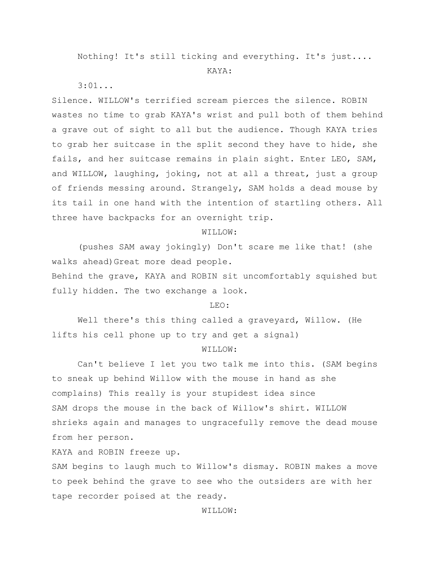Nothing! It's still ticking and everything. It's just....

#### KAYA:

3:01...

Silence. WILLOW's terrified scream pierces the silence. ROBIN wastes no time to grab KAYA's wrist and pull both of them behind a grave out of sight to all but the audience. Though KAYA tries to grab her suitcase in the split second they have to hide, she fails, and her suitcase remains in plain sight. Enter LEO, SAM, and WILLOW, laughing, joking, not at all a threat, just a group of friends messing around. Strangely, SAM holds a dead mouse by its tail in one hand with the intention of startling others. All three have backpacks for an overnight trip.

# WILLOW:

(pushes SAM away jokingly) Don't scare me like that! (she walks ahead)Great more dead people.

Behind the grave, KAYA and ROBIN sit uncomfortably squished but fully hidden. The two exchange a look.

#### LEO:

Well there's this thing called a graveyard, Willow. (He lifts his cell phone up to try and get a signal)

#### WILLOW:

Can't believe I let you two talk me into this. (SAM begins to sneak up behind Willow with the mouse in hand as she complains) This really is your stupidest idea since SAM drops the mouse in the back of Willow's shirt. WILLOW shrieks again and manages to ungracefully remove the dead mouse from her person.

KAYA and ROBIN freeze up.

SAM begins to laugh much to Willow's dismay. ROBIN makes a move to peek behind the grave to see who the outsiders are with her tape recorder poised at the ready.

WILLOW: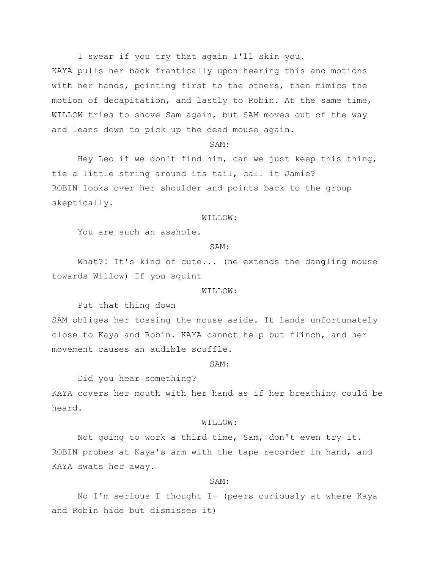I swear if you try that again I'll skin you.

KAYA pulls her back frantically upon hearing this and motions with her hands, pointing first to the others, then mimics the motion of decapitation, and lastly to Robin. At the same time, WILLOW tries to shove Sam again, but SAM moves out of the way and leans down to pick up the dead mouse again.

#### SAM:

Hey Leo if we don't find him, can we just keep this thing, tie a little string around its tail, call it Jamie? ROBIN looks over her shoulder and points back to the group skeptically.

# WILLOW:

You are such an asshole.

#### SAM:

What?! It's kind of cute... (he extends the dangling mouse towards Willow) If you squint

#### WILLOW:

Put that thing down

SAM obliges her tossing the mouse aside. It lands unfortunately close to Kaya and Robin. KAYA cannot help but flinch, and her movement causes an audible scuffle.

## SAM:

Did you hear something?

KAYA covers her mouth with her hand as if her breathing could be heard.

#### WILLOW:

Not going to work a third time, Sam, don't even try it. ROBIN probes at Kaya's arm with the tape recorder in hand, and KAYA swats her away.

#### SAM:

No I'm serious I thought I- (peers curiously at where Kaya and Robin hide but dismisses it)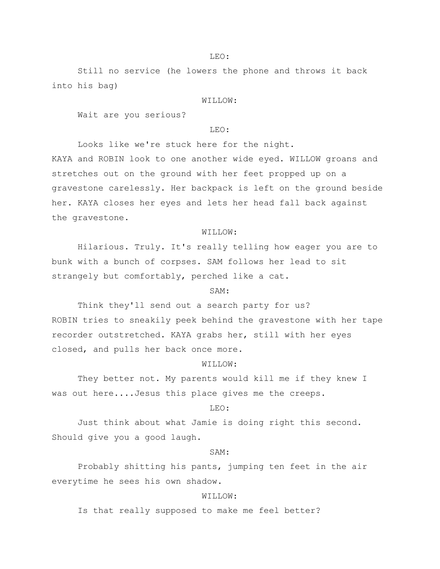Still no service (he lowers the phone and throws it back into his bag)

#### WILLOW:

Wait are you serious?

#### $T.E.$  $\bigcirc$ :

Looks like we're stuck here for the night.

KAYA and ROBIN look to one another wide eyed. WILLOW groans and stretches out on the ground with her feet propped up on a gravestone carelessly. Her backpack is left on the ground beside her. KAYA closes her eyes and lets her head fall back against the gravestone.

#### WILLOW:

Hilarious. Truly. It's really telling how eager you are to bunk with a bunch of corpses. SAM follows her lead to sit strangely but comfortably, perched like a cat.

# SAM:

Think they'll send out a search party for us? ROBIN tries to sneakily peek behind the gravestone with her tape recorder outstretched. KAYA grabs her, still with her eyes closed, and pulls her back once more.

# WILLOW:

They better not. My parents would kill me if they knew I was out here....Jesus this place gives me the creeps.

#### LEO:

Just think about what Jamie is doing right this second. Should give you a good laugh.

#### SAM:

Probably shitting his pants, jumping ten feet in the air everytime he sees his own shadow.

# WILLOW:

Is that really supposed to make me feel better?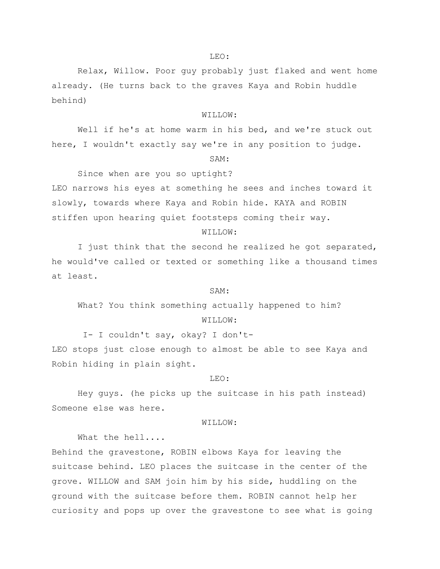#### LEO:

Relax, Willow. Poor guy probably just flaked and went home already. (He turns back to the graves Kaya and Robin huddle behind)

# WILLOW:

Well if he's at home warm in his bed, and we're stuck out here, I wouldn't exactly say we're in any position to judge.

#### SAM:

Since when are you so uptight? LEO narrows his eyes at something he sees and inches toward it slowly, towards where Kaya and Robin hide. KAYA and ROBIN stiffen upon hearing quiet footsteps coming their way.

#### WILLOW:

I just think that the second he realized he got separated, he would've called or texted or something like a thousand times at least.

#### SAM:

What? You think something actually happened to him? WILLOW:

I- I couldn't say, okay? I don't-LEO stops just close enough to almost be able to see Kaya and Robin hiding in plain sight.

#### LEO:

Hey guys. (he picks up the suitcase in his path instead) Someone else was here.

#### WILLOW:

What the hell....

Behind the gravestone, ROBIN elbows Kaya for leaving the suitcase behind. LEO places the suitcase in the center of the grove. WILLOW and SAM join him by his side, huddling on the ground with the suitcase before them. ROBIN cannot help her curiosity and pops up over the gravestone to see what is going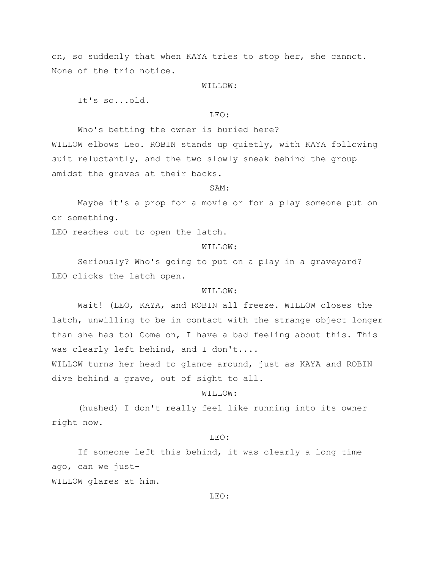on, so suddenly that when KAYA tries to stop her, she cannot. None of the trio notice.

WILLOW:

It's so...old.

# LEO:

Who's betting the owner is buried here?

WILLOW elbows Leo. ROBIN stands up quietly, with KAYA following suit reluctantly, and the two slowly sneak behind the group amidst the graves at their backs.

#### SAM:

Maybe it's a prop for a movie or for a play someone put on or something.

LEO reaches out to open the latch.

# WILLOW:

Seriously? Who's going to put on a play in a graveyard? LEO clicks the latch open.

#### WILLOW:

Wait! (LEO, KAYA, and ROBIN all freeze. WILLOW closes the latch, unwilling to be in contact with the strange object longer than she has to) Come on, I have a bad feeling about this. This was clearly left behind, and I don't....

WILLOW turns her head to glance around, just as KAYA and ROBIN dive behind a grave, out of sight to all.

# WILLOW:

(hushed) I don't really feel like running into its owner right now.

#### $T.E.$  $\bigcirc$ :

If someone left this behind, it was clearly a long time ago, can we just-WILLOW glares at him.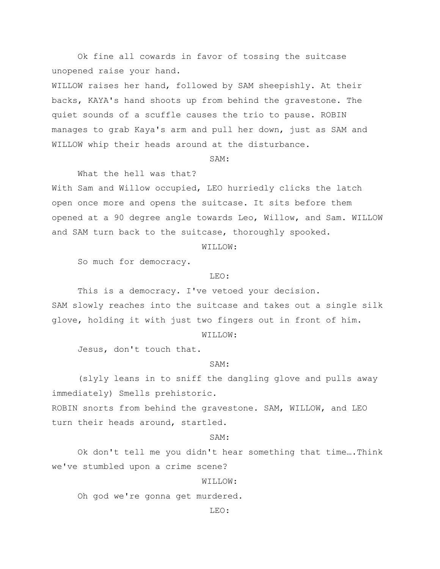Ok fine all cowards in favor of tossing the suitcase unopened raise your hand.

WILLOW raises her hand, followed by SAM sheepishly. At their backs, KAYA's hand shoots up from behind the gravestone. The quiet sounds of a scuffle causes the trio to pause. ROBIN manages to grab Kaya's arm and pull her down, just as SAM and WILLOW whip their heads around at the disturbance.

#### SAM:

What the hell was that?

With Sam and Willow occupied, LEO hurriedly clicks the latch open once more and opens the suitcase. It sits before them opened at a 90 degree angle towards Leo, Willow, and Sam. WILLOW and SAM turn back to the suitcase, thoroughly spooked.

WILLOW:

So much for democracy.

#### LEO:

This is a democracy. I've vetoed your decision. SAM slowly reaches into the suitcase and takes out a single silk glove, holding it with just two fingers out in front of him.

WILLOW:

Jesus, don't touch that.

# SAM:

(slyly leans in to sniff the dangling glove and pulls away immediately) Smells prehistoric.

ROBIN snorts from behind the gravestone. SAM, WILLOW, and LEO turn their heads around, startled.

#### SAM:

Ok don't tell me you didn't hear something that time….Think we've stumbled upon a crime scene?

WILLOW:

Oh god we're gonna get murdered.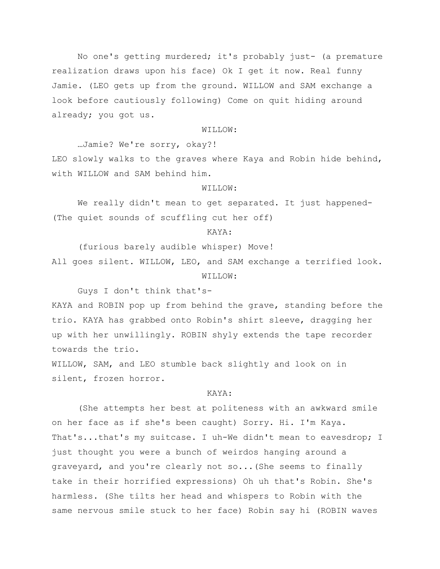No one's getting murdered; it's probably just- (a premature realization draws upon his face) Ok I get it now. Real funny Jamie. (LEO gets up from the ground. WILLOW and SAM exchange a look before cautiously following) Come on quit hiding around already; you got us.

#### WILLOW:

…Jamie? We're sorry, okay?! LEO slowly walks to the graves where Kaya and Robin hide behind, with WILLOW and SAM behind him.

# WILLOW:

We really didn't mean to get separated. It just happened-(The quiet sounds of scuffling cut her off)

#### KAYA:

(furious barely audible whisper) Move! All goes silent. WILLOW, LEO, and SAM exchange a terrified look. WILLOW:

Guys I don't think that's-

KAYA and ROBIN pop up from behind the grave, standing before the trio. KAYA has grabbed onto Robin's shirt sleeve, dragging her up with her unwillingly. ROBIN shyly extends the tape recorder towards the trio.

WILLOW, SAM, and LEO stumble back slightly and look on in silent, frozen horror.

# KAYA:

(She attempts her best at politeness with an awkward smile on her face as if she's been caught) Sorry. Hi. I'm Kaya. That's...that's my suitcase. I uh-We didn't mean to eavesdrop; I just thought you were a bunch of weirdos hanging around a graveyard, and you're clearly not so...(She seems to finally take in their horrified expressions) Oh uh that's Robin. She's harmless. (She tilts her head and whispers to Robin with the same nervous smile stuck to her face) Robin say hi (ROBIN waves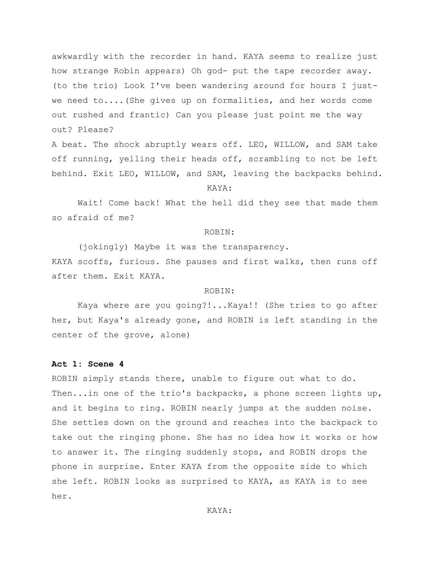awkwardly with the recorder in hand. KAYA seems to realize just how strange Robin appears) Oh god- put the tape recorder away. (to the trio) Look I've been wandering around for hours I justwe need to....(She gives up on formalities, and her words come out rushed and frantic) Can you please just point me the way out? Please?

A beat. The shock abruptly wears off. LEO, WILLOW, and SAM take off running, yelling their heads off, scrambling to not be left behind. Exit LEO, WILLOW, and SAM, leaving the backpacks behind.

#### KAYA:

Wait! Come back! What the hell did they see that made them so afraid of me?

#### ROBIN:

(jokingly) Maybe it was the transparency. KAYA scoffs, furious. She pauses and first walks, then runs off after them. Exit KAYA.

# ROBIN:

Kaya where are you going?!...Kaya!! (She tries to go after her, but Kaya's already gone, and ROBIN is left standing in the center of the grove, alone)

## **Act 1: Scene 4**

ROBIN simply stands there, unable to figure out what to do. Then...in one of the trio's backpacks, a phone screen lights up, and it begins to ring. ROBIN nearly jumps at the sudden noise. She settles down on the ground and reaches into the backpack to take out the ringing phone. She has no idea how it works or how to answer it. The ringing suddenly stops, and ROBIN drops the phone in surprise. Enter KAYA from the opposite side to which she left. ROBIN looks as surprised to KAYA, as KAYA is to see her.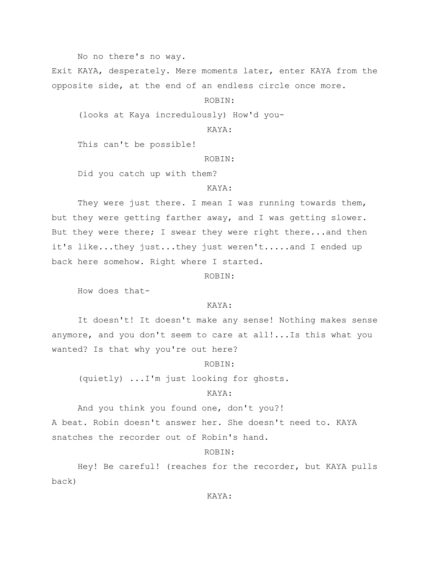No no there's no way.

Exit KAYA, desperately. Mere moments later, enter KAYA from the opposite side, at the end of an endless circle once more.

ROBIN:

(looks at Kaya incredulously) How'd you-

KAYA:

This can't be possible!

ROBIN:

Did you catch up with them?

# KAYA:

They were just there. I mean I was running towards them, but they were getting farther away, and I was getting slower. But they were there; I swear they were right there...and then it's like...they just...they just weren't.....and I ended up back here somehow. Right where I started.

ROBIN:

How does that-

# KAYA:

It doesn't! It doesn't make any sense! Nothing makes sense anymore, and you don't seem to care at all!...Is this what you wanted? Is that why you're out here?

ROBIN:

(quietly) ...I'm just looking for ghosts.

# KAYA:

And you think you found one, don't you?!

A beat. Robin doesn't answer her. She doesn't need to. KAYA

snatches the recorder out of Robin's hand.

# ROBIN:

Hey! Be careful! (reaches for the recorder, but KAYA pulls back)

# KAYA: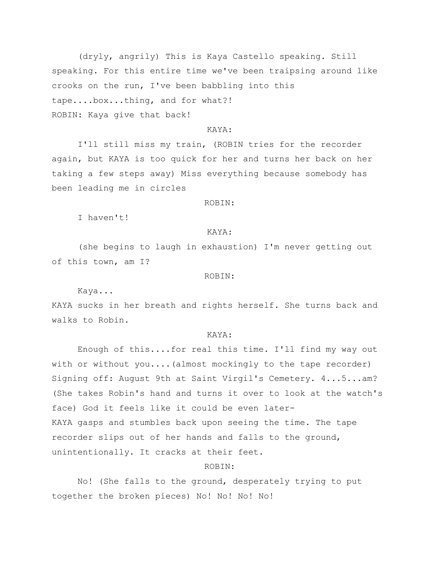(dryly, angrily) This is Kaya Castello speaking. Still speaking. For this entire time we've been traipsing around like crooks on the run, I've been babbling into this tape....box...thing, and for what?! ROBIN: Kaya give that back!

# KAYA:

I'll still miss my train, (ROBIN tries for the recorder again, but KAYA is too quick for her and turns her back on her taking a few steps away) Miss everything because somebody has been leading me in circles

#### ROBIN:

I haven't!

#### KAYA:

(she begins to laugh in exhaustion) I'm never getting out of this town, am I?

#### ROBIN:

Kaya...

KAYA sucks in her breath and rights herself. She turns back and walks to Robin.

# KAYA:

Enough of this....for real this time. I'll find my way out with or without you....(almost mockingly to the tape recorder) Signing off: August 9th at Saint Virgil's Cemetery. 4...5...am? (She takes Robin's hand and turns it over to look at the watch's face) God it feels like it could be even later-KAYA gasps and stumbles back upon seeing the time. The tape recorder slips out of her hands and falls to the ground, unintentionally. It cracks at their feet.

# ROBIN:

No! (She falls to the ground, desperately trying to put together the broken pieces) No! No! No! No!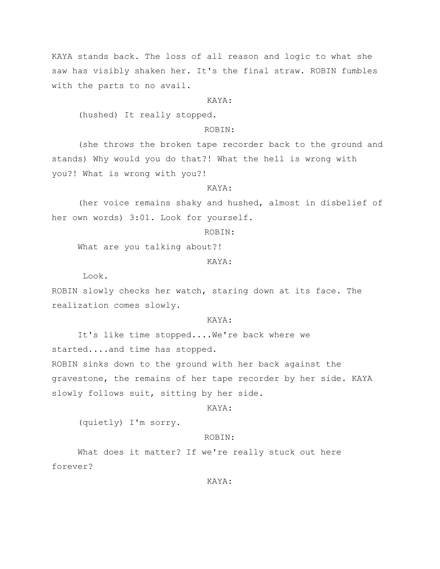KAYA stands back. The loss of all reason and logic to what she saw has visibly shaken her. It's the final straw. ROBIN fumbles with the parts to no avail.

#### KAYA:

(hushed) It really stopped.

# ROBIN:

(she throws the broken tape recorder back to the ground and stands) Why would you do that?! What the hell is wrong with you?! What is wrong with you?!

# KAYA:

(her voice remains shaky and hushed, almost in disbelief of her own words) 3:01. Look for yourself.

#### ROBIN:

What are you talking about?!

# KAYA:

Look.

ROBIN slowly checks her watch, staring down at its face. The realization comes slowly.

# KAYA:

It's like time stopped....We're back where we started....and time has stopped. ROBIN sinks down to the ground with her back against the gravestone, the remains of her tape recorder by her side. KAYA slowly follows suit, sitting by her side.

#### KAYA:

(quietly) I'm sorry.

# ROBIN:

What does it matter? If we're really stuck out here forever?

#### KAYA: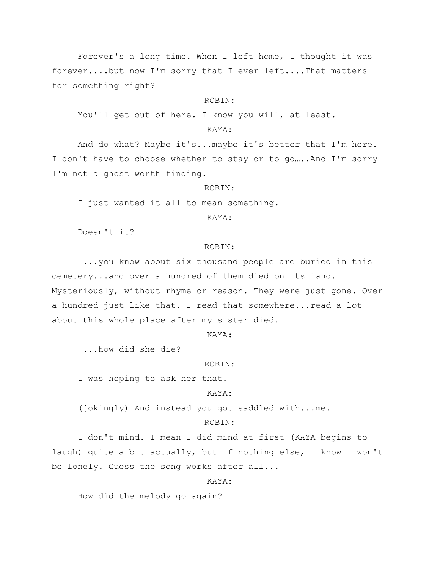Forever's a long time. When I left home, I thought it was forever....but now I'm sorry that I ever left....That matters for something right?

#### ROBIN:

You'll get out of here. I know you will, at least.

# KAYA:

And do what? Maybe it's...maybe it's better that I'm here. I don't have to choose whether to stay or to go…..And I'm sorry I'm not a ghost worth finding.

#### ROBIN:

I just wanted it all to mean something.

# KAYA:

Doesn't it?

# ROBIN:

...you know about six thousand people are buried in this cemetery...and over a hundred of them died on its land. Mysteriously, without rhyme or reason. They were just gone. Over a hundred just like that. I read that somewhere...read a lot about this whole place after my sister died.

#### KAYA:

...how did she die?

#### ROBIN:

I was hoping to ask her that.

# KAYA:

(jokingly) And instead you got saddled with...me.

# ROBIN:

I don't mind. I mean I did mind at first (KAYA begins to laugh) quite a bit actually, but if nothing else, I know I won't be lonely. Guess the song works after all...

#### KAYA:

How did the melody go again?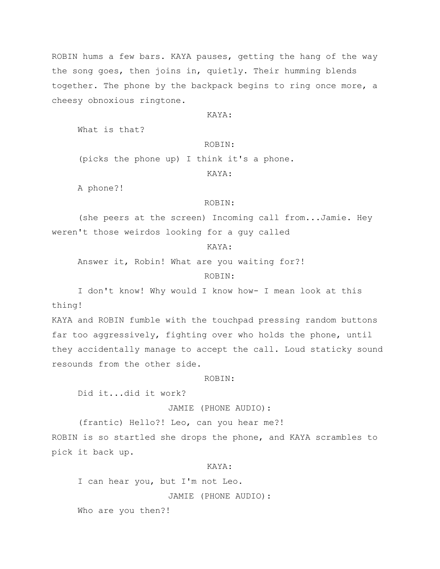ROBIN hums a few bars. KAYA pauses, getting the hang of the way the song goes, then joins in, quietly. Their humming blends together. The phone by the backpack begins to ring once more, a cheesy obnoxious ringtone.

# KAYA:

What is that?

# ROBIN:

(picks the phone up) I think it's a phone.

# KAYA:

A phone?!

#### ROBIN:

(she peers at the screen) Incoming call from...Jamie. Hey weren't those weirdos looking for a guy called

# KAYA:

Answer it, Robin! What are you waiting for?!

# ROBIN:

I don't know! Why would I know how- I mean look at this thing!

KAYA and ROBIN fumble with the touchpad pressing random buttons far too aggressively, fighting over who holds the phone, until they accidentally manage to accept the call. Loud staticky sound resounds from the other side.

ROBIN:

Did it...did it work?

#### JAMIE (PHONE AUDIO):

(frantic) Hello?! Leo, can you hear me?! ROBIN is so startled she drops the phone, and KAYA scrambles to pick it back up.

# KAYA:

I can hear you, but I'm not Leo.

JAMIE (PHONE AUDIO):

Who are you then?!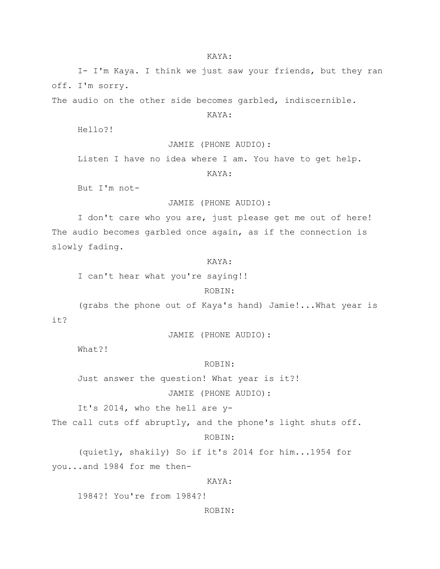#### KAYA:

I- I'm Kaya. I think we just saw your friends, but they ran off. I'm sorry.

The audio on the other side becomes garbled, indiscernible.

# KAYA:

Hello?!

JAMIE (PHONE AUDIO):

Listen I have no idea where I am. You have to get help.

KAYA:

But I'm not-

# JAMIE (PHONE AUDIO):

I don't care who you are, just please get me out of here! The audio becomes garbled once again, as if the connection is slowly fading.

# KAYA:

I can't hear what you're saying!!

#### ROBIN:

(grabs the phone out of Kaya's hand) Jamie!...What year is it?

JAMIE (PHONE AUDIO):

What?!

ROBIN:

Just answer the question! What year is it?!

JAMIE (PHONE AUDIO):

It's 2014, who the hell are y-

The call cuts off abruptly, and the phone's light shuts off.

#### ROBIN:

(quietly, shakily) So if it's 2014 for him...1954 for you...and 1984 for me then-

#### KAYA:

1984?! You're from 1984?!

ROBIN: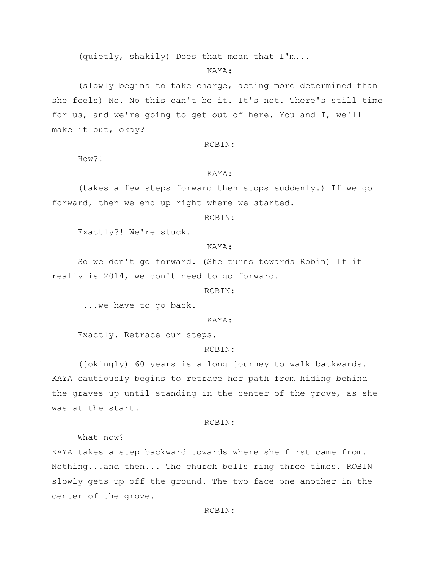#### KAYA:

(slowly begins to take charge, acting more determined than she feels) No. No this can't be it. It's not. There's still time for us, and we're going to get out of here. You and I, we'll make it out, okay?

#### ROBIN:

How?!

# KAYA:

(takes a few steps forward then stops suddenly.) If we go forward, then we end up right where we started.

## ROBIN:

Exactly?! We're stuck.

# KAYA:

So we don't go forward. (She turns towards Robin) If it really is 2014, we don't need to go forward.

ROBIN:

...we have to go back.

# KAYA:

Exactly. Retrace our steps.

# ROBIN:

(jokingly) 60 years is a long journey to walk backwards. KAYA cautiously begins to retrace her path from hiding behind the graves up until standing in the center of the grove, as she was at the start.

#### ROBIN:

What now?

KAYA takes a step backward towards where she first came from. Nothing...and then... The church bells ring three times. ROBIN slowly gets up off the ground. The two face one another in the center of the grove.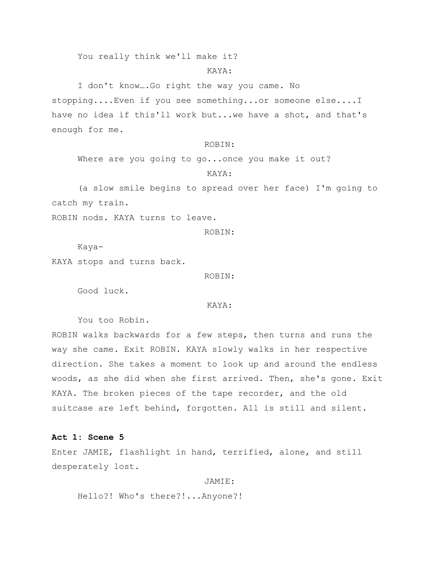You really think we'll make it?

#### KAYA:

I don't know….Go right the way you came. No stopping....Even if you see something...or someone else....I have no idea if this'll work but...we have a shot, and that's enough for me.

#### ROBIN:

Where are you going to go...once you make it out?

# KAYA:

(a slow smile begins to spread over her face) I'm going to catch my train.

ROBIN nods. KAYA turns to leave.

#### ROBIN:

Kaya-

KAYA stops and turns back.

ROBIN:

Good luck.

#### KAYA:

You too Robin.

ROBIN walks backwards for a few steps, then turns and runs the way she came. Exit ROBIN. KAYA slowly walks in her respective direction. She takes a moment to look up and around the endless woods, as she did when she first arrived. Then, she's gone. Exit KAYA. The broken pieces of the tape recorder, and the old suitcase are left behind, forgotten. All is still and silent.

#### **Act 1: Scene 5**

Enter JAMIE, flashlight in hand, terrified, alone, and still desperately lost.

#### JAMIE:

Hello?! Who's there?!...Anyone?!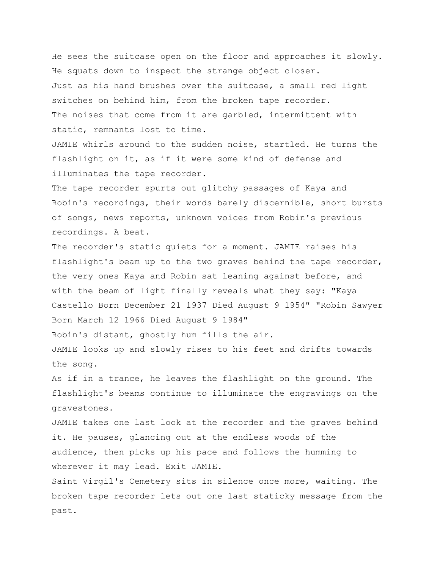He sees the suitcase open on the floor and approaches it slowly. He squats down to inspect the strange object closer. Just as his hand brushes over the suitcase, a small red light switches on behind him, from the broken tape recorder. The noises that come from it are garbled, intermittent with static, remnants lost to time.

JAMIE whirls around to the sudden noise, startled. He turns the flashlight on it, as if it were some kind of defense and illuminates the tape recorder.

The tape recorder spurts out glitchy passages of Kaya and Robin's recordings, their words barely discernible, short bursts of songs, news reports, unknown voices from Robin's previous recordings. A beat.

The recorder's static quiets for a moment. JAMIE raises his flashlight's beam up to the two graves behind the tape recorder, the very ones Kaya and Robin sat leaning against before, and with the beam of light finally reveals what they say: "Kaya Castello Born December 21 1937 Died August 9 1954" "Robin Sawyer Born March 12 1966 Died August 9 1984"

Robin's distant, ghostly hum fills the air.

JAMIE looks up and slowly rises to his feet and drifts towards the song.

As if in a trance, he leaves the flashlight on the ground. The flashlight's beams continue to illuminate the engravings on the gravestones.

JAMIE takes one last look at the recorder and the graves behind it. He pauses, glancing out at the endless woods of the audience, then picks up his pace and follows the humming to wherever it may lead. Exit JAMIE.

Saint Virgil's Cemetery sits in silence once more, waiting. The broken tape recorder lets out one last staticky message from the past.